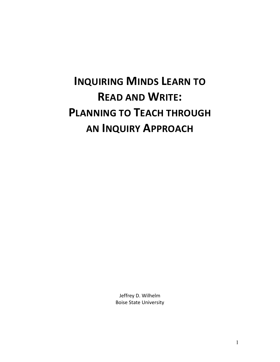# **INQUIRING MINDS LEARN TO READ AND WRITE: PLANNING TO TEACH THROUGH AN INQUIRY APPROACH**

Jeffrey D. Wilhelm Boise State University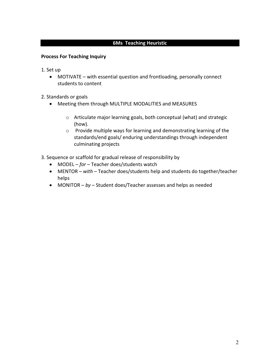# **6Ms Teaching Heuristic**

#### **Process For Teaching Inquiry**

1. Set up

- MOTIVATE with essential question and frontloading, personally connect students to content
- 2. Standards or goals
	- Meeting them through MULTIPLE MODALITIES and MEASURES
		- o Articulate major learning goals, both conceptual (what) and strategic (how).
		- o Provide multiple ways for learning and demonstrating learning of the standards/end goals/ enduring understandings through independent culminating projects
- 3. Sequence or scaffold for gradual release of responsibility by
	- MODEL *for* Teacher does/students watch
	- MENTOR *with*  Teacher does/students help and students do together/teacher helps
	- MONITOR *by* Student does/Teacher assesses and helps as needed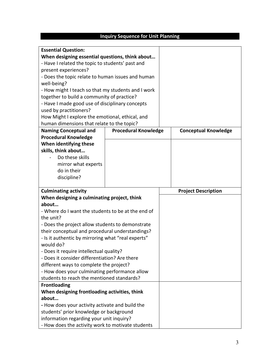# **Inquiry Sequence for Unit Planning**

| <b>Essential Question:</b>                                                          |                             |                             |
|-------------------------------------------------------------------------------------|-----------------------------|-----------------------------|
| When designing essential questions, think about                                     |                             |                             |
| - Have I related the topic to students' past and                                    |                             |                             |
| present experiences?                                                                |                             |                             |
| - Does the topic relate to human issues and human                                   |                             |                             |
| well-being?                                                                         |                             |                             |
| - How might I teach so that my students and I work                                  |                             |                             |
| together to build a community of practice?                                          |                             |                             |
| - Have I made good use of disciplinary concepts                                     |                             |                             |
| used by practitioners?                                                              |                             |                             |
| How Might I explore the emotional, ethical, and                                     |                             |                             |
| human dimensions that relate to the topic?                                          |                             |                             |
| <b>Naming Conceptual and</b>                                                        | <b>Procedural Knowledge</b> | <b>Conceptual Knowledge</b> |
| <b>Procedural Knowledge</b>                                                         |                             |                             |
| When identifying these                                                              |                             |                             |
| skills, think about                                                                 |                             |                             |
| Do these skills                                                                     |                             |                             |
| mirror what experts                                                                 |                             |                             |
| do in their                                                                         |                             |                             |
| discipline?                                                                         |                             |                             |
|                                                                                     |                             |                             |
| <b>Culminating activity</b>                                                         |                             | <b>Project Description</b>  |
| When designing a culminating project, think                                         |                             |                             |
|                                                                                     |                             |                             |
| about                                                                               |                             |                             |
| - Where do I want the students to be at the end of                                  |                             |                             |
| the unit?                                                                           |                             |                             |
| - Does the project allow students to demonstrate                                    |                             |                             |
| their conceptual and procedural understandings?                                     |                             |                             |
| - Is it authentic by mirroring what "real experts"                                  |                             |                             |
| would do?                                                                           |                             |                             |
| - Does it require intellectual quality?                                             |                             |                             |
| - Does it consider differentiation? Are there                                       |                             |                             |
| different ways to complete the project?                                             |                             |                             |
| - How does your culminating performance allow                                       |                             |                             |
| students to reach the mentioned standards?                                          |                             |                             |
| <b>Frontloading</b>                                                                 |                             |                             |
| When designing frontloading activities, think                                       |                             |                             |
| about                                                                               |                             |                             |
| - How does your activity activate and build the                                     |                             |                             |
| students' prior knowledge or background<br>information regarding your unit inquiry? |                             |                             |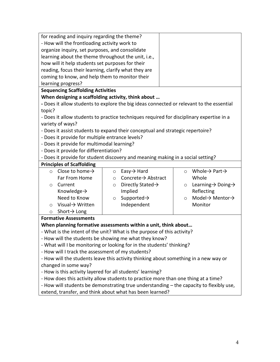| for reading and inquiry regarding the theme?                                            |                                                                                          |                                                       |  |  |  |
|-----------------------------------------------------------------------------------------|------------------------------------------------------------------------------------------|-------------------------------------------------------|--|--|--|
| - How will the frontloading activity work to                                            |                                                                                          |                                                       |  |  |  |
| organize inquiry, set purposes, and consolidate                                         |                                                                                          |                                                       |  |  |  |
| learning about the theme throughout the unit, i.e.,                                     |                                                                                          |                                                       |  |  |  |
| how will it help students set purposes for their                                        |                                                                                          |                                                       |  |  |  |
| reading, focus their learning, clarify what they are                                    |                                                                                          |                                                       |  |  |  |
| coming to know, and help them to monitor their                                          |                                                                                          |                                                       |  |  |  |
| learning progress?                                                                      |                                                                                          |                                                       |  |  |  |
| <b>Sequencing Scaffolding Activities</b>                                                |                                                                                          |                                                       |  |  |  |
| When designing a scaffolding activity, think about                                      |                                                                                          |                                                       |  |  |  |
|                                                                                         | - Does it allow students to explore the big ideas connected or relevant to the essential |                                                       |  |  |  |
| topic?                                                                                  |                                                                                          |                                                       |  |  |  |
|                                                                                         | - Does it allow students to practice techniques required for disciplinary expertise in a |                                                       |  |  |  |
| variety of ways?                                                                        |                                                                                          |                                                       |  |  |  |
|                                                                                         | - Does it assist students to expand their conceptual and strategic repertoire?           |                                                       |  |  |  |
| - Does it provide for multiple entrance levels?                                         |                                                                                          |                                                       |  |  |  |
| - Does it provide for multimodal learning?                                              |                                                                                          |                                                       |  |  |  |
| - Does it provide for differentiation?                                                  |                                                                                          |                                                       |  |  |  |
|                                                                                         | - Does it provide for student discovery and meaning making in a social setting?          |                                                       |  |  |  |
| <b>Principles of Scaffolding</b>                                                        |                                                                                          |                                                       |  |  |  |
| Close to home $\rightarrow$<br>$\circ$                                                  | Easy $\rightarrow$ Hard<br>$\circ$                                                       | Whole $\rightarrow$ Part $\rightarrow$<br>$\circ$     |  |  |  |
| Far From Home                                                                           | Concrete→ Abstract<br>$\circ$                                                            | Whole                                                 |  |  |  |
| Current<br>$\circ$                                                                      | Directly Stated $\rightarrow$<br>$\circ$                                                 | Learning $\rightarrow$ Doing $\rightarrow$<br>$\circ$ |  |  |  |
| Knowledge $\rightarrow$                                                                 | Implied                                                                                  | Reflecting                                            |  |  |  |
| Need to Know                                                                            | Supported $\rightarrow$<br>$\circ$                                                       | Model $\rightarrow$ Mentor $\rightarrow$<br>$\circ$   |  |  |  |
| Visual $\rightarrow$ Written<br>$\circ$                                                 | Independent                                                                              | Monitor                                               |  |  |  |
| Short $\rightarrow$ Long<br>O                                                           |                                                                                          |                                                       |  |  |  |
| <b>Formative Assessments</b>                                                            |                                                                                          |                                                       |  |  |  |
| When planning formative assessments within a unit, think about                          |                                                                                          |                                                       |  |  |  |
| - What is the intent of the unit? What is the purpose of this activity?                 |                                                                                          |                                                       |  |  |  |
| - How will the students be showing me what they know?                                   |                                                                                          |                                                       |  |  |  |
| - What will I be monitoring or looking for in the students' thinking?                   |                                                                                          |                                                       |  |  |  |
| - How will I track the assessment of my students?                                       |                                                                                          |                                                       |  |  |  |
| - How will the students leave this activity thinking about something in a new way or    |                                                                                          |                                                       |  |  |  |
| changed in some way?                                                                    |                                                                                          |                                                       |  |  |  |
| - How is this activity layered for all students' learning?                              |                                                                                          |                                                       |  |  |  |
| - How does this activity allow students to practice more than one thing at a time?      |                                                                                          |                                                       |  |  |  |
| - How will students be demonstrating true understanding - the capacity to flexibly use, |                                                                                          |                                                       |  |  |  |
| extend, transfer, and think about what has been learned?                                |                                                                                          |                                                       |  |  |  |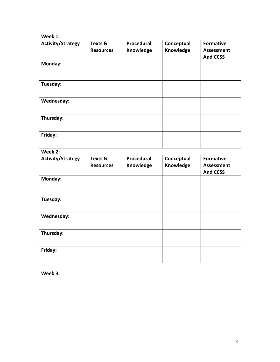| Week 1:                  |                             |                         |                         |                                                          |
|--------------------------|-----------------------------|-------------------------|-------------------------|----------------------------------------------------------|
| <b>Activity/Strategy</b> | Texts &<br><b>Resources</b> | Procedural<br>Knowledge | Conceptual<br>Knowledge | <b>Formative</b><br><b>Assessment</b><br><b>And CCSS</b> |
| Monday:                  |                             |                         |                         |                                                          |
| Tuesday:                 |                             |                         |                         |                                                          |
| Wednesday:               |                             |                         |                         |                                                          |
| Thursday:                |                             |                         |                         |                                                          |
| Friday:                  |                             |                         |                         |                                                          |
| Week 2:                  |                             |                         |                         |                                                          |
| <b>Activity/Strategy</b> | Texts &<br><b>Resources</b> | Procedural<br>Knowledge | Conceptual<br>Knowledge | <b>Formative</b><br><b>Assessment</b><br><b>And CCSS</b> |
| Monday:                  |                             |                         |                         |                                                          |
| Tuesday:                 |                             |                         |                         |                                                          |
| Wednesday:               |                             |                         |                         |                                                          |
| Thursday:                |                             |                         |                         |                                                          |
| Friday:                  |                             |                         |                         |                                                          |
| Week 3:                  |                             |                         |                         |                                                          |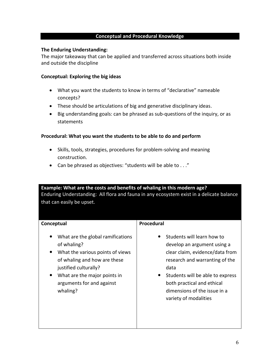#### **Conceptual and Procedural Knowledge**

#### **The Enduring Understanding:**

The major takeaway that can be applied and transferred across situations both inside and outside the discipline

#### **Conceptual: Exploring the big ideas**

- What you want the students to know in terms of "declarative" nameable concepts?
- These should be articulations of big and generative disciplinary ideas.
- Big understanding goals: can be phrased as sub-questions of the inquiry, or as statements

#### **Procedural: What you want the students to be able to do and perform**

- Skills, tools, strategies, procedures for problem-solving and meaning construction.
- Can be phrased as objectives: "students will be able to . . ."

**Example: What are the costs and benefits of whaling in this modern age?** Enduring Understanding: All flora and fauna in any ecosystem exist in a delicate balance that can easily be upset.

| Conceptual                                                                                                                                                                                                                                       | <b>Procedural</b>                                                                                                                                                                                                                                                 |
|--------------------------------------------------------------------------------------------------------------------------------------------------------------------------------------------------------------------------------------------------|-------------------------------------------------------------------------------------------------------------------------------------------------------------------------------------------------------------------------------------------------------------------|
| What are the global ramifications<br>$\bullet$<br>of whaling?<br>What the various points of views<br>$\bullet$<br>of whaling and how are these<br>justified culturally?<br>What are the major points in<br>arguments for and against<br>whaling? | Students will learn how to<br>develop an argument using a<br>clear claim, evidence/data from<br>research and warranting of the<br>data<br>Students will be able to express<br>both practical and ethical<br>dimensions of the issue in a<br>variety of modalities |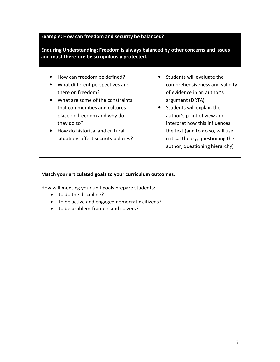#### **Example: How can freedom and security be balanced?**

**Enduring Understanding: Freedom is always balanced by other concerns and issues and must therefore be scrupulously protected.**

- How can freedom be defined?
- What different perspectives are there on freedom?
- What are some of the constraints that communities and cultures place on freedom and why do they do so?
- How do historical and cultural situations affect security policies?
- Students will evaluate the comprehensiveness and validity of evidence in an author's argument (DRTA)
- Students will explain the author's point of view and interpret how this influences the text (and to do so, will use critical theory, questioning the author, questioning hierarchy)

#### **Match your articulated goals to your curriculum outcomes**.

How will meeting your unit goals prepare students:

- to do the discipline?
- to be active and engaged democratic citizens?
- to be problem-framers and solvers?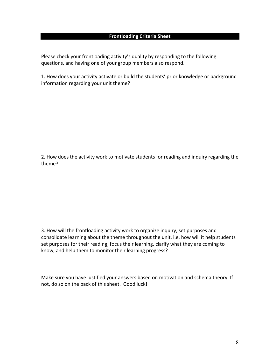#### **Frontloading Criteria Sheet**

Please check your frontloading activity's quality by responding to the following questions, and having one of your group members also respond.

1. How does your activity activate or build the students' prior knowledge or background information regarding your unit theme?

2. How does the activity work to motivate students for reading and inquiry regarding the theme?

3. How will the frontloading activity work to organize inquiry, set purposes and consolidate learning about the theme throughout the unit, i.e. how will it help students set purposes for their reading, focus their learning, clarify what they are coming to know, and help them to monitor their learning progress?

Make sure you have justified your answers based on motivation and schema theory. If not, do so on the back of this sheet. Good luck!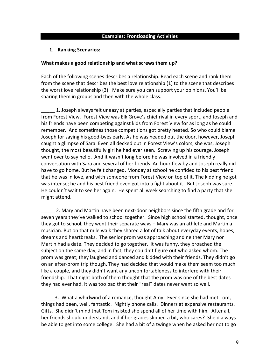#### **Examples: Frontloading Activities**

#### **1. Ranking Scenarios:**

#### **What makes a good relationship and what screws them up?**

Each of the following scenes describes a relationship. Read each scene and rank them from the scene that describes the best love relationship (1) to the scene that describes the worst love relationship (3). Make sure you can support your opinions. You'll be sharing them in groups and then with the whole class.

1. Joseph always felt uneasy at parties, especially parties that included people from Forest View. Forest View was Elk Grove's chief rival in every sport, and Joseph and his friends have been competing against kids from Forest View for as long as he could remember. And sometimes those competitions got pretty heated. So who could blame Joseph for saying his good-byes early. As he was headed out the door, however, Joseph caught a glimpse of Sara. Even all decked out in Forest View's colors, she was, Joseph thought, the most beautifully girl he had ever seen. Screwing up his courage, Joseph went over to say hello. And it wasn't long before he was involved in a friendly conversation with Sara and several of her friends. An hour flew by and Joseph really did have to go home. But he felt changed. Monday at school he confided to his best friend that he was in love, and with someone from Forest View on top of it. The kidding he got was intense; he and his best friend even got into a fight about it. But Joseph was sure. He couldn't wait to see her again. He spent all week searching to find a party that she might attend.

2. Mary and Martin have been next-door neighbors since the fifth grade and for seven years they've walked to school together. Since high school started, thought, once they got to school, they went their separate ways – Mary was an athlete and Martin a musician. But on that mile walk they shared a lot of talk about everyday events, hopes, dreams and heartbreaks. The senior prom was approaching and neither Mary nor Martin had a date. They decided to go together. It was funny, they broached the subject on the same day, and in fact, they couldn't figure out who asked whom. The prom was great; they laughed and danced and kidded with their friends. They didn't go on an after-prom trip though. They had decided that would make them seem too much like a couple, and they didn't want any uncomfortableness to interfere with their friendship. That night both of them thought that the prom was one of the best dates they had ever had. It was too bad that their "real" dates never went so well.

\_\_\_\_\_3. What a whirlwind of a romance, thought Amy. Ever since she had met Tom, things had been, well, fantastic. Nightly phone calls. Dinners at expensive restaurants. Gifts. She didn't mind that Tom insisted she spend all of her time with him. After all, her friends should understand, and if her grades slipped a bit, who cares? She'd always be able to get into some college. She had a bit of a twinge when he asked her not to go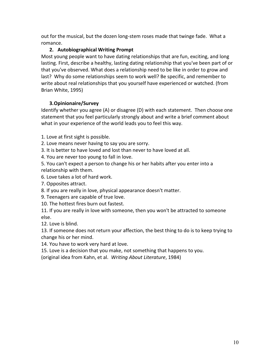out for the musical, but the dozen long-stem roses made that twinge fade. What a romance.

# **2. Autobiographical Writing Prompt**

Most young people want to have dating relationships that are fun, exciting, and long lasting. First, describe a healthy, lasting dating relationship that you've been part of or that you've observed. What does a relationship need to be like in order to grow and last? Why do some relationships seem to work well? Be specific, and remember to write about real relationships that you yourself have experienced or watched. (from Brian White, 1995)

# **3.Opinionaire/Survey**

Identify whether you agree (A) or disagree (D) with each statement. Then choose one statement that you feel particularly strongly about and write a brief comment about what in your experience of the world leads you to feel this way.

- 1. Love at first sight is possible.
- 2. Love means never having to say you are sorry.
- 3. It is better to have loved and lost than never to have loved at all.
- 4. You are never too young to fall in love.
- 5. You can't expect a person to change his or her habits after you enter into a relationship with them.
- 6. Love takes a lot of hard work.
- 7. Opposites attract.
- 8. If you are really in love, physical appearance doesn't matter.
- 9. Teenagers are capable of true love.
- 10. The hottest fires burn out fastest.
- 11. If you are really in love with someone, then you won't be attracted to someone else.
- 12. Love is blind.

13. If someone does not return your affection, the best thing to do is to keep trying to change his or her mind.

- 14. You have to work very hard at love.
- 15. Love is a decision that you make, not something that happens to you.

(original idea from Kahn, et al. *Writing About Literature*, 1984)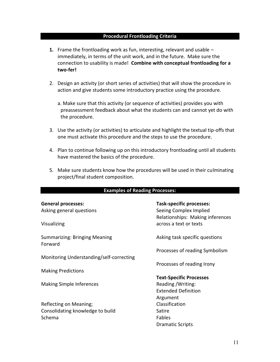#### **Procedural Frontloading Criteria**

- **1.** Frame the frontloading work as fun, interesting, relevant and usable immediately, in terms of the unit work, and in the future. Make sure the connection to usability is made! **Combine with conceptual frontloading for a two-fer!**
- 2. Design an activity (or short series of activities) that will show the procedure in action and give students some introductory practice using the procedure.

a. Make sure that this activity (or sequence of activities) provides you with preassessment feedback about what the students can and cannot yet do with the procedure.

- 3. Use the activity (or activities) to articulate and highlight the textual tip-offs that one must activate this procedure and the steps to use the procedure.
- 4. Plan to continue following up on this introductory frontloading until all students have mastered the basics of the procedure.
- 5. Make sure students know how the procedures will be used in their culminating project/final student composition.

# **Examples of Reading Processes:**

| <b>General processes:</b>                | Task-specific processes:         |
|------------------------------------------|----------------------------------|
| Asking general questions                 | Seeing Complex Implied           |
|                                          | Relationships: Making inferences |
| Visualizing                              | across a text or texts           |
| <b>Summarizing: Bringing Meaning</b>     | Asking task specific questions   |
| Forward                                  |                                  |
|                                          | Processes of reading Symbolism   |
| Monitoring Understanding/self-correcting |                                  |
|                                          | Processes of reading Irony       |
| <b>Making Predictions</b>                |                                  |
|                                          | <b>Text-Specific Processes</b>   |
| <b>Making Simple Inferences</b>          | Reading/Writing:                 |
|                                          | <b>Extended Definition</b>       |
|                                          | Argument                         |
| Reflecting on Meaning;                   | Classification                   |
| Consolidating knowledge to build         | Satire                           |
| Schema                                   | Fables                           |
|                                          | <b>Dramatic Scripts</b>          |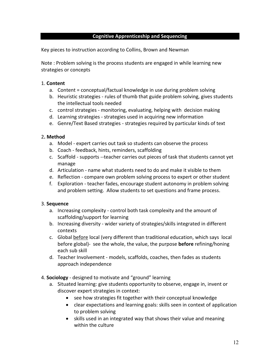#### **Cognitive Apprenticeship and Sequencing**

Key pieces to instruction according to Collins, Brown and Newman

Note : Problem solving is the process students are engaged in while learning new strategies or concepts

#### 1. **Content**

- a. Content = conceptual/factual knowledge in use during problem solving
- b. Heuristic strategies rules of thumb that guide problem solving, gives students the intellectual tools needed
- c. control strategies monitoring, evaluating, helping with decision making
- d. Learning strategies strategies used in acquiring new information
- e. Genre/Text Based strategies strategies required by particular kinds of text

#### 2**. Method**

- a. Model expert carries out task so students can observe the process
- b. Coach feedback, hints, reminders, scaffolding
- c. Scaffold supports --teacher carries out pieces of task that students cannot yet manage
- d. Articulation name what students need to do and make it visible to them
- e. Reflection compare own problem solving process to expert or other student
- f. Exploration teacher fades, encourage student autonomy in problem solving and problem setting. Allow students to set questions and frame process.

#### 3. **Sequence**

- a. Increasing complexity control both task complexity and the amount of scaffolding/support for learning
- b. Increasing diversity wider variety of strategies/skills integrated in different contexts
- c. Global before local (very different than traditional education, which says local before global)- see the whole, the value, the purpose **before** refining/honing each sub skill
- d. Teacher Involvement models, scaffolds, coaches, then fades as students approach independence
- 4. **Sociology** designed to motivate and "ground" learning
	- a. Situated learning: give students opportunity to observe, engage in, invent or discover expert strategies in context:
		- see how strategies fit together with their conceptual knowledge
		- clear expectations and learning goals: skills seen in context of application to problem solving
		- skills used in an integrated way that shows their value and meaning within the culture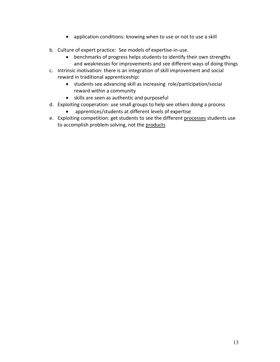- application conditions: knowing when to use or not to use a skill
- b. Culture of expert practice: See models of expertise-in-use.
	- benchmarks of progress helps students to identify their own strengths and weaknesses for improvements and see different ways of doing things
- c. Intrinsic motivation: there is an integration of skill improvement and social reward in traditional apprenticeship:
	- students see advancing skill as increasing role/participation/social reward within a community
	- skills are seen as authentic and purposeful
- d. Exploiting cooperation: use small groups to help see others doing a process
	- apprentices/students at different levels of expertise
- e. Exploiting competition: get students to see the different processes students use to accomplish problem solving, not the products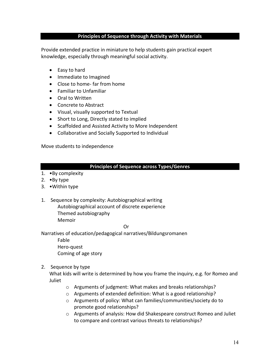#### **Principles of Sequence through Activity with Materials**

Provide extended practice in miniature to help students gain practical expert knowledge, especially through meaningful social activity.

- Easy to hard
- Immediate to Imagined
- Close to home- far from home
- Familiar to Unfamiliar
- Oral to Written
- Concrete to Abstract
- Visual, visually supported to Textual
- Short to Long, Directly stated to implied
- Scaffolded and Assisted Activity to More Independent
- Collaborative and Socially Supported to Individual

Move students to independence

#### **Principles of Sequence across Types/Genres**

- 1. •By complexity
- 2. •By type
- 3. •Within type
- 1. Sequence by complexity: Autobiographical writing Autobiographical account of discrete experience Themed autobiography Memoir

Or

Narratives of education/pedagogical narratives/Bildungsromanen

Fable Hero-quest Coming of age story

2. Sequence by type

What kids will write is determined by how you frame the inquiry, e.g. for Romeo and Juliet

- o Arguments of judgment: What makes and breaks relationships?
- o Arguments of extended definition: What is a good relationship?
- o Arguments of policy: What can families/communities/society do to promote good relationships?
- o Arguments of analysis: How did Shakespeare construct Romeo and Juliet to compare and contrast various threats to relationships?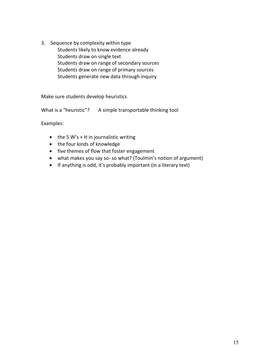3. Sequence by complexity within type Students likely to know evidence already Students draw on single text Students draw on range of secondary sources Students draw on range of primary sources Students generate new data through inquiry

Make sure students develop heuristics

What is a "heuristic"? A simple transportable thinking tool

Examples:

- $\bullet$  the 5 W's + H in journalistic writing
- the four kinds of knowledge
- five themes of flow that foster engagement
- what makes you say so- so what? (Toulmin's notion of argument)
- If anything is odd, it's probably important (in a literary text)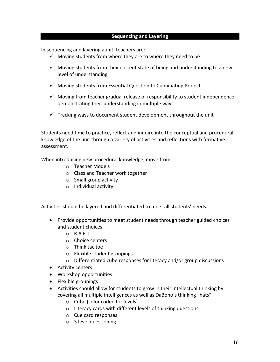#### **Sequencing and Layering**

In sequencing and layering aunit, teachers are:

- $\checkmark$  Moving students from where they are to where they need to be
- $\checkmark$  Moving students from their current state of being and understanding to a new level of understanding
- $\checkmark$  Moving students from Essential Question to Culminating Project
- $\checkmark$  Moving from teacher gradual release of responsibility to student independence: demonstrating their understanding in multiple ways
- $\checkmark$  Tracking ways to document student development throughout the unit

Students need time to practice, reflect and inquire into the conceptual and procedural knowledge of the unit through a variety of activities and reflections with formative assessment.

When introducing new procedural knowledge, move from

- o Teacher Models
- o Class and Teacher work together
- o Small group activity
- o Individual activity

Activities should be layered and differentiated to meet all students' needs.

- Provide opportunities to meet student needs through teacher guided choices and student choices
	- o R.A.F.T.
	- o Choice centers
	- o Think tac toe
	- o Flexible student groupings
	- o Differentiated cube responses for literacy and/or group discussions
- Activity centers
- Workshop opportunities
- Flexible groupings
- Activities should allow for students to grow in their intellectual thinking by covering all multiple intelligences as well as DaBono's thinking "hats"
	- o Cube (color coded for levels)
	- o Literacy cards with different levels of thinking questions
	- o Cue card responses
	- o 3 level questioning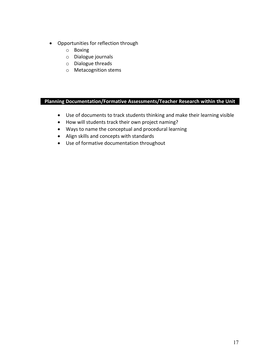- Opportunities for reflection through
	- o Boxing
	- o Dialogue journals
	- o Dialogue threads
	- o Metacognition stems

# **Planning Documentation/Formative Assessments/Teacher Research within the Unit**

- Use of documents to track students thinking and make their learning visible
- How will students track their own project naming?
- Ways to name the conceptual and procedural learning
- Align skills and concepts with standards
- Use of formative documentation throughout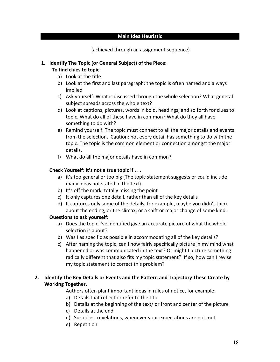#### **Main Idea Heuristic**

(achieved through an assignment sequence)

# **1. Identify The Topic (or General Subject) of the Piece:**

# **To find clues to topic:**

- a) Look at the title
- b) Look at the first and last paragraph: the topic is often named and always implied
- c) Ask yourself: What is discussed through the whole selection? What general subject spreads across the whole text?
- d) Look at captions, pictures, words in bold, headings, and so forth for clues to topic. What do all of these have in common? What do they all have something to do with?
- e) Remind yourself: The topic must connect to all the major details and events from the selection. Caution: not every detail has something to do with the topic. The topic is the common element or connection amongst the major details.
- f) What do all the major details have in common?

#### **Check Yourself**: **It's not a true topic if . . .**

- a) it's too general or too big (The topic statement suggests or could include many ideas not stated in the text).
- b) It's off the mark, totally missing the point
- c) It only captures one detail, rather than all of the key details
- d) It captures only some of the details, for example, maybe you didn't think about the ending, or the climax, or a shift or major change of some kind.

#### **Questions to ask yourself:**

- a) Does the topic I've identified give an accurate picture of what the whole selection is about?
- b) Was I as specific as possible in accommodating all of the key details?
- c) After naming the topic, can I now fairly specifically picture in my mind what happened or was communicated in the text? Or might I picture something radically different that also fits my topic statement? If so, how can I revise my topic statement to correct this problem?

# **2. Identify The Key Details or Events and the Pattern and Trajectory These Create by Working Together.**

Authors often plant important ideas in rules of notice, for example:

- a) Details that reflect or refer to the title
- b) Details at the beginning of the text/ or front and center of the picture
- c) Details at the end
- d) Surprises, revelations, whenever your expectations are not met
- e) Repetition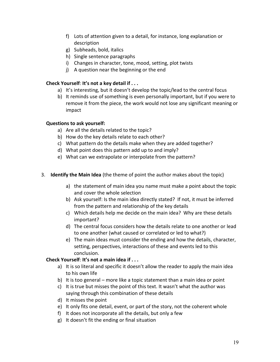- f) Lots of attention given to a detail, for instance, long explanation or description
- g) Subheads, bold, italics
- h) Single sentence paragraphs
- i) Changes in character, tone, mood, setting, plot twists
- j) A question near the beginning or the end

#### **Check Yourself**: **It's not a key detail if . . .**

- a) It's interesting, but it doesn't develop the topic/lead to the central focus
- b) It reminds use of something is even personally important, but if you were to remove it from the piece, the work would not lose any significant meaning or impact

#### **Questions to ask yourself:**

- a) Are all the details related to the topic?
- b) How do the key details relate to each other?
- c) What pattern do the details make when they are added together?
- d) What point does this pattern add up to and imply?
- e) What can we extrapolate or interpolate from the pattern?
- 3. **Identify the Main Idea** (the theme of point the author makes about the topic)
	- a) the statement of main idea you name must make a point about the topic and cover the whole selection
	- b) Ask yourself: Is the main idea directly stated? If not, it must be inferred from the pattern and relationship of the key details
	- c) Which details help me decide on the main idea? Why are these details important?
	- d) The central focus considers how the details relate to one another or lead to one another (what caused or correlated or led to what?)
	- e) The main ideas must consider the ending and how the details, character, setting, perspectives, interactions of these and events led to this conclusion.

#### **Check Yourself**: **It's not a main idea if . . .**

- a) It is so literal and specific it doesn't allow the reader to apply the main idea to his own life
- b) It is too general more like a topic statement than a main idea or point
- c) It is true but misses the point of this text. It wasn't what the author was saying through this combination of these details
- d) It misses the point
- e) It only fits one detail, event, or part of the story, not the coherent whole
- f) It does not incorporate all the details, but only a few
- g) It doesn't fit the ending or final situation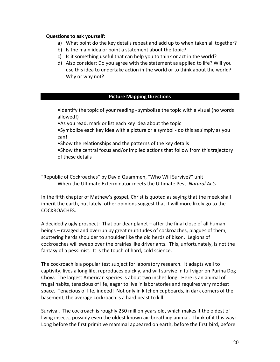#### **Questions to ask yourself:**

- a) What point do the key details repeat and add up to when taken all together?
- b) Is the main idea or point a statement about the topic?
- c) Is it something useful that can help you to think or act in the world?
- d) Also consider: Do you agree with the statement as applied to life? Will you use this idea to undertake action in the world or to think about the world? Why or why not?

#### **Picture Mapping Directions**

•Identify the topic of your reading - symbolize the topic with a visual (no words allowed!)

•As you read, mark or list each key idea about the topic

•Symbolize each key idea with a picture or a symbol - do this as simply as you can!

•Show the relationships and the patterns of the key details

•Show the central focus and/or implied actions that follow from this trajectory of these details

"Republic of Cockroaches" by David Quammen, "Who Will Survive?" unit When the Ultimate Exterminator meets the Ultimate Pest *Natural Acts*

In the fifth chapter of Mathew's gospel, Christ is quoted as saying that the meek shall inherit the earth, but lately, other opinions suggest that it will more likely go to the COCKROACHES.

A decidedly ugly prospect: That our dear planet – after the final close of all human beings – ravaged and overrun by great multitudes of cockroaches, plagues of them, scuttering herds shoulder to shoulder like the old herds of bison. Legions of cockroaches will sweep over the prairies like driver ants. This, unfortunately, is not the fantasy of a pessimist. It is the touch of hard, cold science.

The cockroach is a popular test subject for laboratory research. It adapts well to captivity, lives a long life, reproduces quickly, and will survive in full vigor on Purina Dog Chow. The largest American species is about two inches long. Here is an animal of frugal habits, tenacious of life, eager to live in laboratories and requires very modest space. Tenacious of life, indeed! Not only in kitchen cupboards, in dark corners of the basement, the average cockroach is a hard beast to kill.

Survival. The cockroach is roughly 250 million years old, which makes it the oldest of living insects, possibly even the oldest known air-breathing animal. Think of it this way: Long before the first primitive mammal appeared on earth, before the first bird, before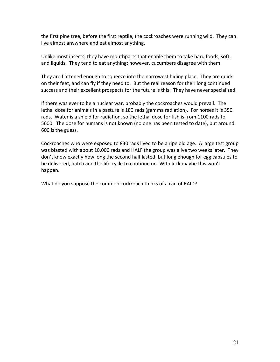the first pine tree, before the first reptile, the cockroaches were running wild. They can live almost anywhere and eat almost anything.

Unlike most insects, they have mouthparts that enable them to take hard foods, soft, and liquids. They tend to eat anything; however, cucumbers disagree with them.

They are flattened enough to squeeze into the narrowest hiding place. They are quick on their feet, and can fly if they need to. But the real reason for their long continued success and their excellent prospects for the future is this: They have never specialized.

If there was ever to be a nuclear war, probably the cockroaches would prevail. The lethal dose for animals in a pasture is 180 rads (gamma radiation). For horses it is 350 rads. Water is a shield for radiation, so the lethal dose for fish is from 1100 rads to 5600. The dose for humans is not known (no one has been tested to date), but around 600 is the guess.

Cockroaches who were exposed to 830 rads lived to be a ripe old age. A large test group was blasted with about 10,000 rads and HALF the group was alive two weeks later. They don't know exactly how long the second half lasted, but long enough for egg capsules to be delivered, hatch and the life cycle to continue on. With luck maybe this won't happen.

What do you suppose the common cockroach thinks of a can of RAID?